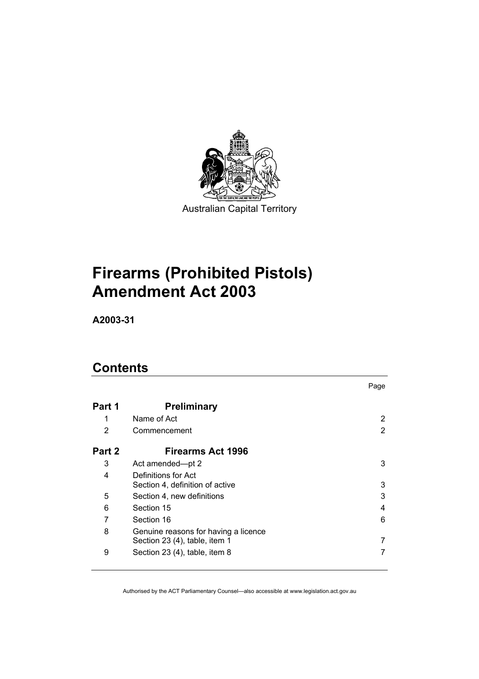

# **Firearms (Prohibited Pistols) Amendment Act 2003**

**A2003-31** 

# **Contents**

|        |                                                                       | Page          |
|--------|-----------------------------------------------------------------------|---------------|
| Part 1 | <b>Preliminary</b>                                                    |               |
| 1      | Name of Act                                                           | 2             |
| 2      | Commencement                                                          | $\mathcal{P}$ |
| Part 2 | Firearms Act 1996                                                     |               |
| 3      | Act amended-pt 2                                                      | 3             |
| 4      | Definitions for Act<br>Section 4, definition of active                | 3             |
| 5      | Section 4, new definitions                                            | 3             |
| 6      | Section 15                                                            | 4             |
| 7      | Section 16                                                            | 6             |
| 8      | Genuine reasons for having a licence<br>Section 23 (4), table, item 1 | 7             |
| 9      | Section 23 (4), table, item 8                                         |               |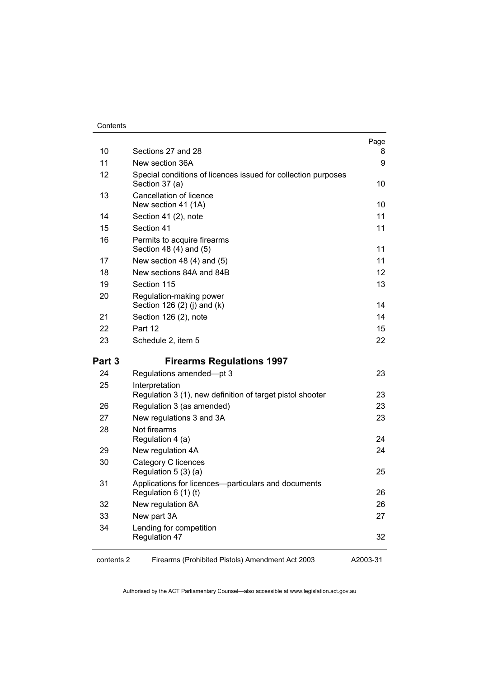#### Contents

| 10         | Sections 27 and 28                                                              | Page<br>8         |
|------------|---------------------------------------------------------------------------------|-------------------|
| 11         | New section 36A                                                                 | 9                 |
| 12         | Special conditions of licences issued for collection purposes<br>Section 37 (a) | 10                |
| 13         | Cancellation of licence<br>New section 41 (1A)                                  | 10                |
| 14         | Section 41 (2), note                                                            | 11                |
| 15         | Section 41                                                                      | 11                |
| 16         | Permits to acquire firearms<br>Section 48 (4) and (5)                           | 11                |
| 17         | New section 48 $(4)$ and $(5)$                                                  | 11                |
| 18         | New sections 84A and 84B                                                        | $12 \overline{ }$ |
| 19         | Section 115                                                                     | 13                |
| 20         | Regulation-making power<br>Section 126 (2) (j) and (k)                          | 14                |
| 21         | Section 126 (2), note                                                           | 14                |
| 22         | Part 12                                                                         | 15                |
| 23         | Schedule 2, item 5                                                              | 22                |
| Part 3     | <b>Firearms Regulations 1997</b>                                                |                   |
| 24         | Regulations amended-pt 3                                                        | 23                |
| 25         | Interpretation<br>Regulation 3 (1), new definition of target pistol shooter     | 23                |
| 26         | Regulation 3 (as amended)                                                       | 23                |
| 27         | New regulations 3 and 3A                                                        | 23                |
| 28         | Not firearms<br>Regulation 4 (a)                                                | 24                |
| 29         | New regulation 4A                                                               | 24                |
| 30         | Category C licences<br>Regulation 5 (3) (a)                                     | 25                |
| 31         | Applications for licences-particulars and documents<br>Regulation $6(1)(t)$     | 26                |
| 32         | New regulation 8A                                                               | 26                |
| 33         | New part 3A                                                                     | 27                |
| 34         | Lending for competition<br>Regulation 47                                        | 32                |
| contents 2 | Firearms (Prohibited Pistols) Amendment Act 2003                                | A2003-31          |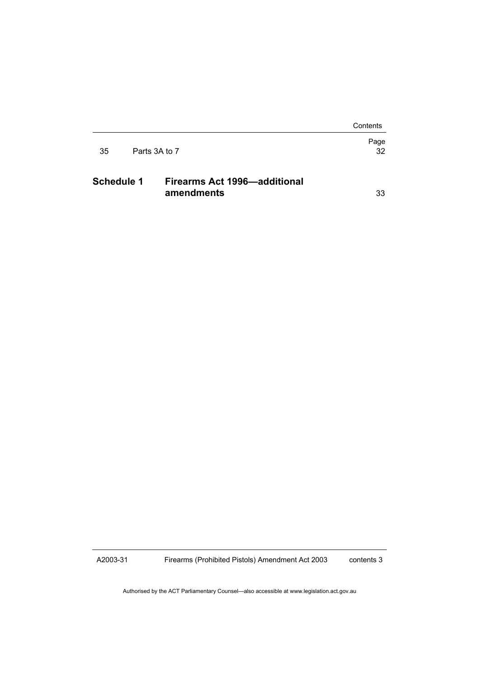Contents

|    |               | Page |
|----|---------------|------|
| 35 | Parts 3A to 7 | 32   |
|    |               |      |

# **Schedule 1 Firearms Act 1996—additional amendments** 33

A2003-31

Firearms (Prohibited Pistols) Amendment Act 2003

contents 3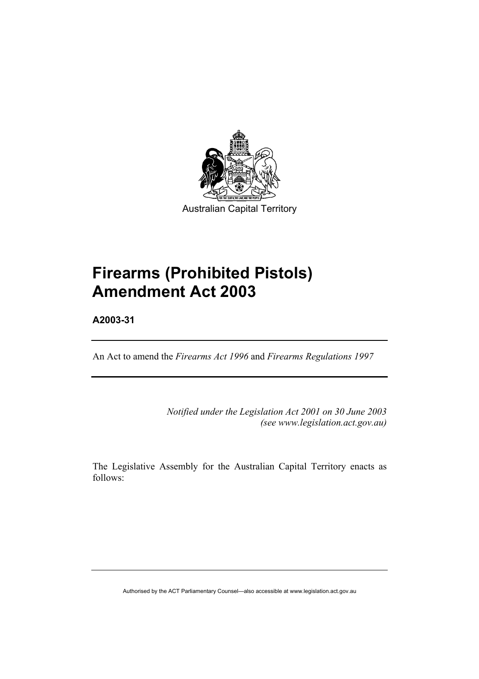

# **Firearms (Prohibited Pistols) Amendment Act 2003**

**A2003-31** 

An Act to amend the *Firearms Act 1996* and *Firearms Regulations 1997* 

*Notified under the Legislation Act 2001 on 30 June 2003 (see www.legislation.act.gov.au)* 

The Legislative Assembly for the Australian Capital Territory enacts as follows: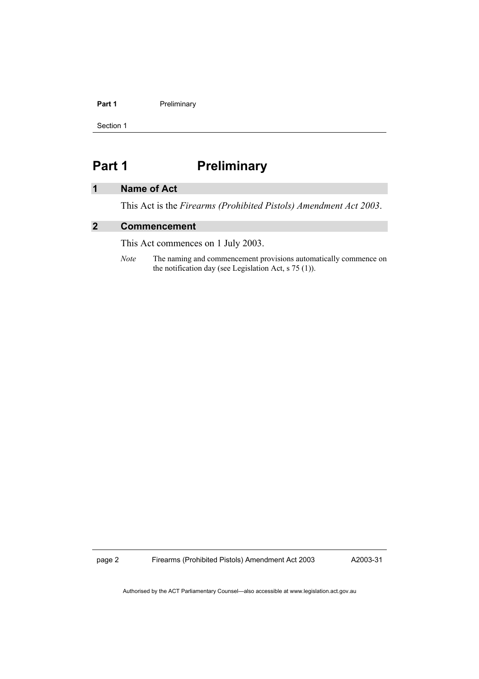#### Part 1 **Preliminary**

Section 1

# **Part 1** Preliminary

# **1 Name of Act**

This Act is the *Firearms (Prohibited Pistols) Amendment Act 2003*.

# **2 Commencement**

This Act commences on 1 July 2003.

*Note* The naming and commencement provisions automatically commence on the notification day (see Legislation Act, s 75 (1)).

page 2 Firearms (Prohibited Pistols) Amendment Act 2003

A2003-31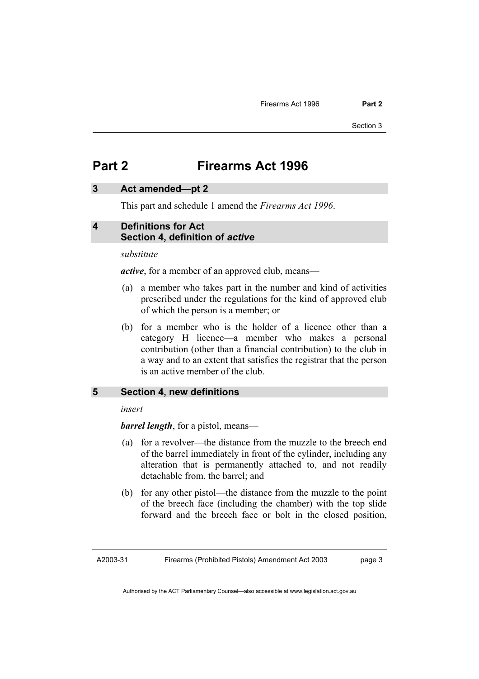Section 3

# **Part 2 Firearms Act 1996**

#### **3 Act amended—pt 2**

This part and schedule 1 amend the *Firearms Act 1996*.

#### **4 Definitions for Act Section 4, definition of** *active*

*substitute* 

*active*, for a member of an approved club, means—

- (a) a member who takes part in the number and kind of activities prescribed under the regulations for the kind of approved club of which the person is a member; or
- (b) for a member who is the holder of a licence other than a category H licence—a member who makes a personal contribution (other than a financial contribution) to the club in a way and to an extent that satisfies the registrar that the person is an active member of the club.

#### **5 Section 4, new definitions**

*insert* 

*barrel length*, for a pistol, means—

- (a) for a revolver—the distance from the muzzle to the breech end of the barrel immediately in front of the cylinder, including any alteration that is permanently attached to, and not readily detachable from, the barrel; and
- (b) for any other pistol—the distance from the muzzle to the point of the breech face (including the chamber) with the top slide forward and the breech face or bolt in the closed position,

A2003-31

Firearms (Prohibited Pistols) Amendment Act 2003

page 3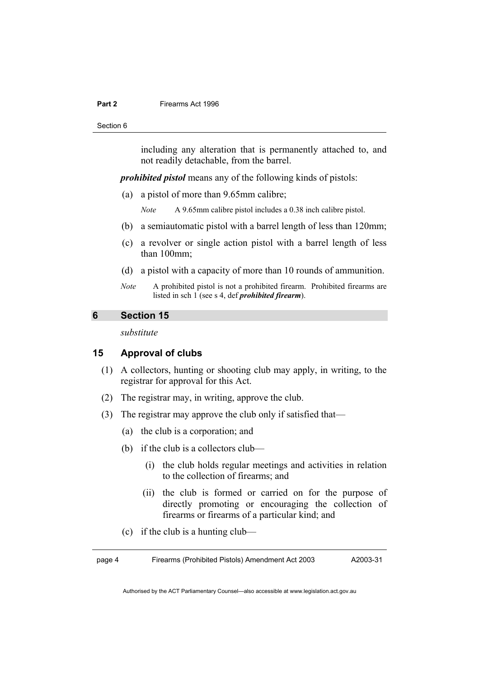Section 6

including any alteration that is permanently attached to, and not readily detachable, from the barrel.

*prohibited pistol* means any of the following kinds of pistols:

- (a) a pistol of more than 9.65mm calibre;
	- *Note* A 9.65mm calibre pistol includes a 0.38 inch calibre pistol.
- (b) a semiautomatic pistol with a barrel length of less than 120mm;
- (c) a revolver or single action pistol with a barrel length of less than 100mm;
- (d) a pistol with a capacity of more than 10 rounds of ammunition.
- *Note* A prohibited pistol is not a prohibited firearm. Prohibited firearms are listed in sch 1 (see s 4, def *prohibited firearm*).

#### **6 Section 15**

*substitute* 

#### **15 Approval of clubs**

- (1) A collectors, hunting or shooting club may apply, in writing, to the registrar for approval for this Act.
- (2) The registrar may, in writing, approve the club.
- (3) The registrar may approve the club only if satisfied that—
	- (a) the club is a corporation; and
	- (b) if the club is a collectors club—
		- (i) the club holds regular meetings and activities in relation to the collection of firearms; and
		- (ii) the club is formed or carried on for the purpose of directly promoting or encouraging the collection of firearms or firearms of a particular kind; and
	- (c) if the club is a hunting club—

page 4 Firearms (Prohibited Pistols) Amendment Act 2003 A2003-31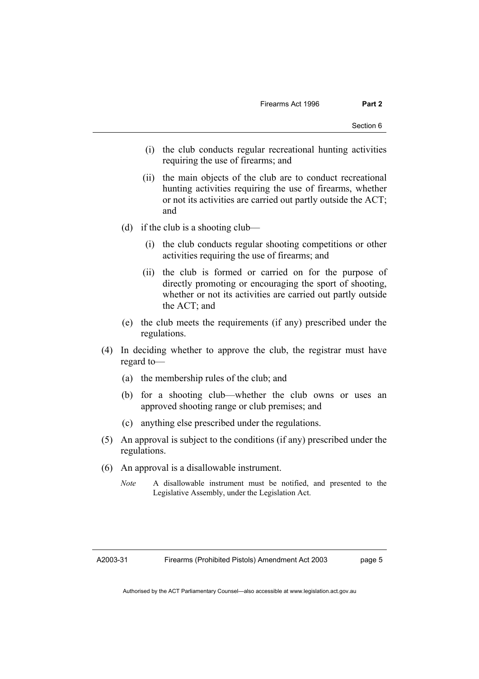- (i) the club conducts regular recreational hunting activities requiring the use of firearms; and
- (ii) the main objects of the club are to conduct recreational hunting activities requiring the use of firearms, whether or not its activities are carried out partly outside the ACT; and
- (d) if the club is a shooting club—
	- (i) the club conducts regular shooting competitions or other activities requiring the use of firearms; and
	- (ii) the club is formed or carried on for the purpose of directly promoting or encouraging the sport of shooting, whether or not its activities are carried out partly outside the ACT; and
- (e) the club meets the requirements (if any) prescribed under the regulations.
- (4) In deciding whether to approve the club, the registrar must have regard to—
	- (a) the membership rules of the club; and
	- (b) for a shooting club—whether the club owns or uses an approved shooting range or club premises; and
	- (c) anything else prescribed under the regulations.
- (5) An approval is subject to the conditions (if any) prescribed under the regulations.
- (6) An approval is a disallowable instrument.
	- *Note* A disallowable instrument must be notified, and presented to the Legislative Assembly, under the Legislation Act.

A2003-31

page 5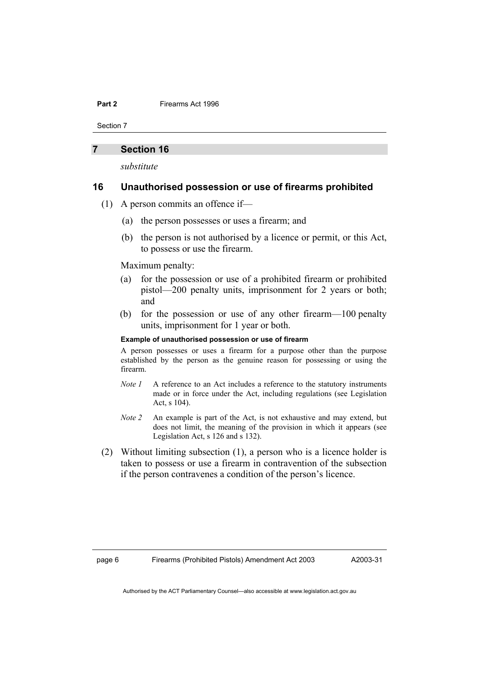Section 7

#### **7 Section 16**

*substitute* 

#### **16 Unauthorised possession or use of firearms prohibited**

- (1) A person commits an offence if—
	- (a) the person possesses or uses a firearm; and
	- (b) the person is not authorised by a licence or permit, or this Act, to possess or use the firearm.

Maximum penalty:

- (a) for the possession or use of a prohibited firearm or prohibited pistol—200 penalty units, imprisonment for 2 years or both; and
- (b) for the possession or use of any other firearm—100 penalty units, imprisonment for 1 year or both.

#### **Example of unauthorised possession or use of firearm**

A person possesses or uses a firearm for a purpose other than the purpose established by the person as the genuine reason for possessing or using the firearm.

- *Note 1* A reference to an Act includes a reference to the statutory instruments made or in force under the Act, including regulations (see Legislation Act, s 104).
- *Note 2* An example is part of the Act, is not exhaustive and may extend, but does not limit, the meaning of the provision in which it appears (see Legislation Act, s 126 and s 132).
- (2) Without limiting subsection (1), a person who is a licence holder is taken to possess or use a firearm in contravention of the subsection if the person contravenes a condition of the person's licence.

A2003-31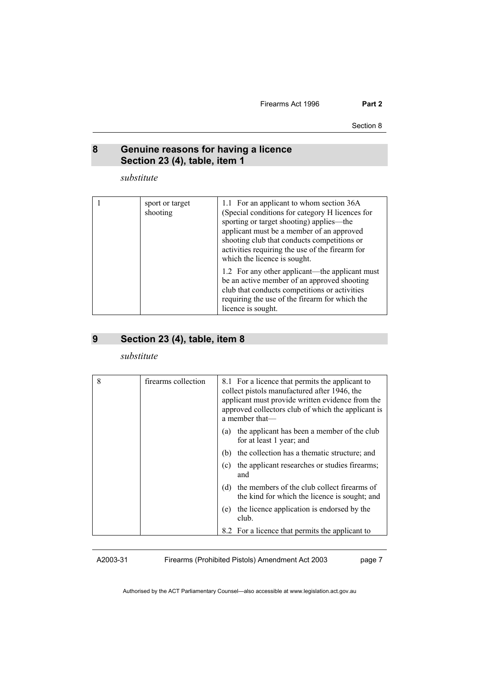Firearms Act 1996 **Part 2** 

Section 8

#### **8 Genuine reasons for having a licence Section 23 (4), table, item 1**

*substitute* 

| sport or target<br>shooting | 1.1 For an applicant to whom section 36A<br>(Special conditions for category H licences for<br>sporting or target shooting) applies—the<br>applicant must be a member of an approved<br>shooting club that conducts competitions or<br>activities requiring the use of the firearm for<br>which the licence is sought. |
|-----------------------------|------------------------------------------------------------------------------------------------------------------------------------------------------------------------------------------------------------------------------------------------------------------------------------------------------------------------|
|                             | 1.2 For any other applicant—the applicant must<br>be an active member of an approved shooting<br>club that conducts competitions or activities<br>requiring the use of the firearm for which the<br>licence is sought.                                                                                                 |

# **9 Section 23 (4), table, item 8**

*substitute* 

| 8 | firearms collection | 8.1 For a licence that permits the applicant to<br>collect pistols manufactured after 1946, the<br>applicant must provide written evidence from the<br>approved collectors club of which the applicant is<br>a member that— |
|---|---------------------|-----------------------------------------------------------------------------------------------------------------------------------------------------------------------------------------------------------------------------|
|   |                     | the applicant has been a member of the club<br>(a)<br>for at least 1 year; and                                                                                                                                              |
|   |                     | the collection has a thematic structure; and<br>(b)                                                                                                                                                                         |
|   |                     | the applicant researches or studies firearms;<br>(c)<br>and                                                                                                                                                                 |
|   |                     | the members of the club collect firearms of<br>(d)<br>the kind for which the licence is sought; and                                                                                                                         |
|   |                     | the licence application is endorsed by the<br>(e)<br>club.                                                                                                                                                                  |
|   |                     | 8.2 For a licence that permits the applicant to                                                                                                                                                                             |

A2003-31

Firearms (Prohibited Pistols) Amendment Act 2003

page 7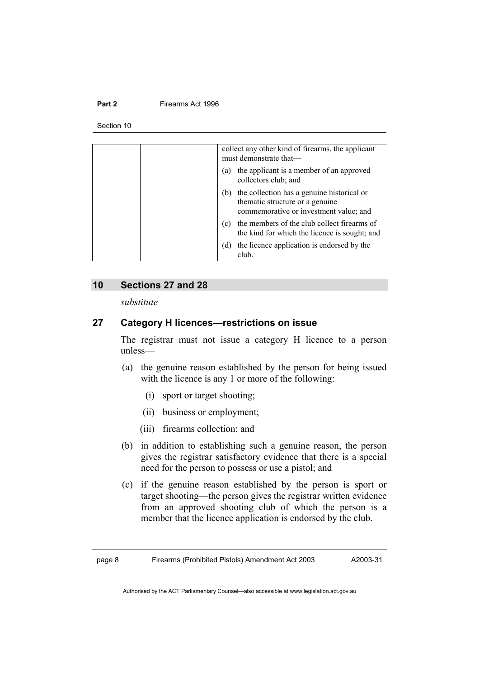Section 10

| collect any other kind of firearms, the applicant<br>must demonstrate that-                                                    |
|--------------------------------------------------------------------------------------------------------------------------------|
| the applicant is a member of an approved<br>(a)<br>collectors club; and                                                        |
| the collection has a genuine historical or<br>(b)<br>thematic structure or a genuine<br>commemorative or investment value; and |
| the members of the club collect firearms of<br>(c)<br>the kind for which the licence is sought; and                            |
| the licence application is endorsed by the<br>(d)<br>club.                                                                     |

#### **10 Sections 27 and 28**

*substitute* 

# **27 Category H licences—restrictions on issue**

The registrar must not issue a category H licence to a person unless—

- (a) the genuine reason established by the person for being issued with the licence is any 1 or more of the following:
	- (i) sport or target shooting;
	- (ii) business or employment;
	- (iii) firearms collection; and
- (b) in addition to establishing such a genuine reason, the person gives the registrar satisfactory evidence that there is a special need for the person to possess or use a pistol; and
- (c) if the genuine reason established by the person is sport or target shooting—the person gives the registrar written evidence from an approved shooting club of which the person is a member that the licence application is endorsed by the club.

A2003-31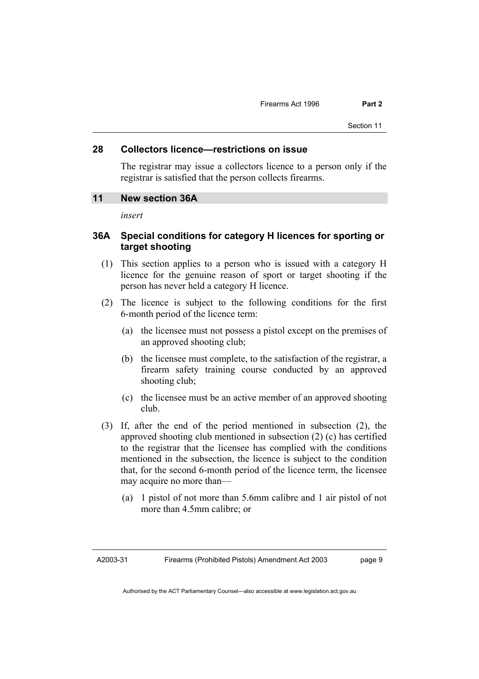#### **28 Collectors licence—restrictions on issue**

The registrar may issue a collectors licence to a person only if the registrar is satisfied that the person collects firearms.

#### **11 New section 36A**

*insert* 

# **36A Special conditions for category H licences for sporting or target shooting**

- (1) This section applies to a person who is issued with a category H licence for the genuine reason of sport or target shooting if the person has never held a category H licence.
- (2) The licence is subject to the following conditions for the first 6-month period of the licence term:
	- (a) the licensee must not possess a pistol except on the premises of an approved shooting club;
	- (b) the licensee must complete, to the satisfaction of the registrar, a firearm safety training course conducted by an approved shooting club;
	- (c) the licensee must be an active member of an approved shooting club.
- (3) If, after the end of the period mentioned in subsection (2), the approved shooting club mentioned in subsection (2) (c) has certified to the registrar that the licensee has complied with the conditions mentioned in the subsection, the licence is subject to the condition that, for the second 6-month period of the licence term, the licensee may acquire no more than—
	- (a) 1 pistol of not more than 5.6mm calibre and 1 air pistol of not more than 4.5mm calibre; or

A2003-31

page 9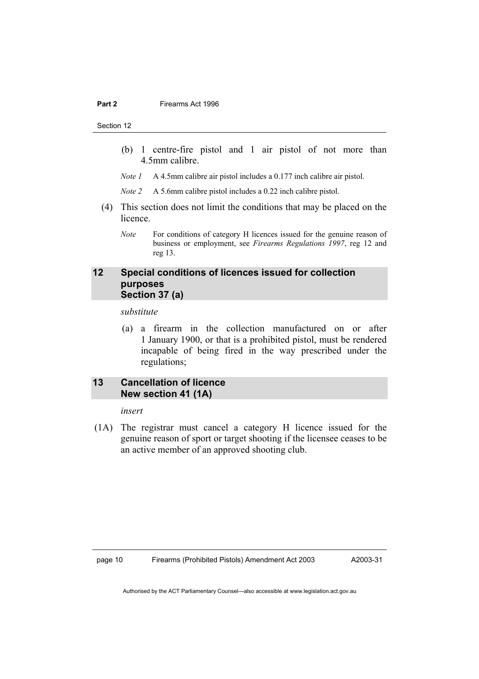Section 12

- (b) 1 centre-fire pistol and 1 air pistol of not more than 4.5mm calibre.
- *Note 1* A 4.5mm calibre air pistol includes a 0.177 inch calibre air pistol.
- *Note 2* A 5.6mm calibre pistol includes a 0.22 inch calibre pistol.
- (4) This section does not limit the conditions that may be placed on the licence.
	- *Note* For conditions of category H licences issued for the genuine reason of business or employment, see *Firearms Regulations 1997*, reg 12 and reg 13.

### **12 Special conditions of licences issued for collection purposes Section 37 (a)**

*substitute* 

 (a) a firearm in the collection manufactured on or after 1 January 1900, or that is a prohibited pistol, must be rendered incapable of being fired in the way prescribed under the regulations;

# **13 Cancellation of licence New section 41 (1A)**

*insert* 

 (1A) The registrar must cancel a category H licence issued for the genuine reason of sport or target shooting if the licensee ceases to be an active member of an approved shooting club.

page 10 Firearms (Prohibited Pistols) Amendment Act 2003

A2003-31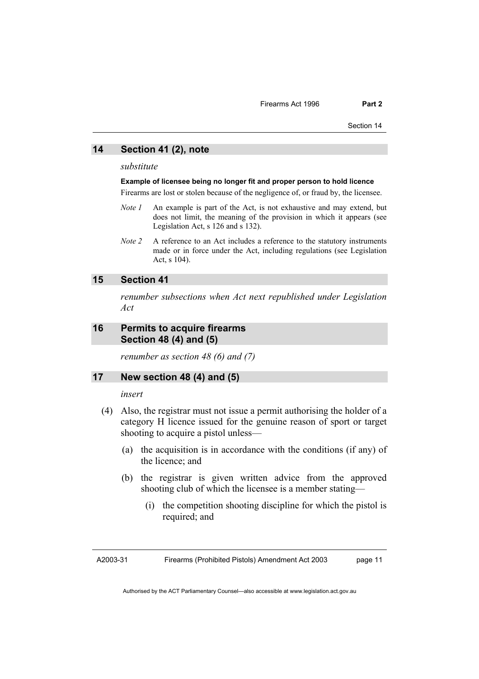Section 14

#### **14 Section 41 (2), note**

*substitute* 

#### **Example of licensee being no longer fit and proper person to hold licence**

Firearms are lost or stolen because of the negligence of, or fraud by, the licensee.

- *Note 1* An example is part of the Act, is not exhaustive and may extend, but does not limit, the meaning of the provision in which it appears (see Legislation Act, s 126 and s 132).
- *Note 2* A reference to an Act includes a reference to the statutory instruments made or in force under the Act, including regulations (see Legislation Act, s 104).

# **15 Section 41**

*renumber subsections when Act next republished under Legislation Act* 

#### **16 Permits to acquire firearms Section 48 (4) and (5)**

*renumber as section 48 (6) and (7)* 

#### **17 New section 48 (4) and (5)**

*insert* 

- (4) Also, the registrar must not issue a permit authorising the holder of a category H licence issued for the genuine reason of sport or target shooting to acquire a pistol unless—
	- (a) the acquisition is in accordance with the conditions (if any) of the licence; and
	- (b) the registrar is given written advice from the approved shooting club of which the licensee is a member stating—
		- (i) the competition shooting discipline for which the pistol is required; and

A2003-31

Firearms (Prohibited Pistols) Amendment Act 2003

page 11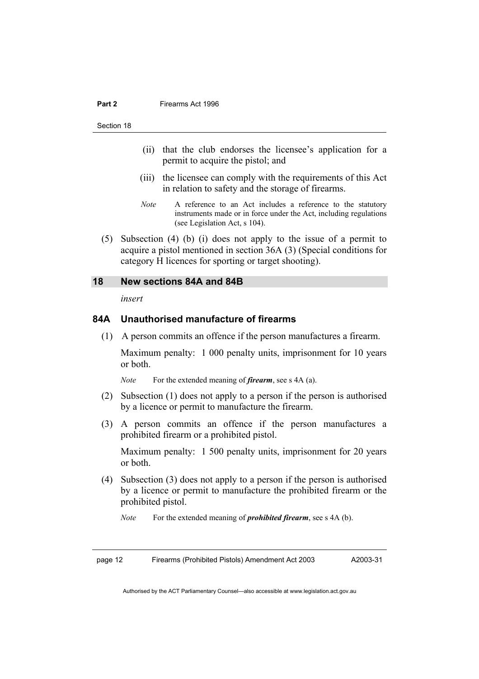Section 18

- (ii) that the club endorses the licensee's application for a permit to acquire the pistol; and
- (iii) the licensee can comply with the requirements of this Act in relation to safety and the storage of firearms.
- *Note* A reference to an Act includes a reference to the statutory instruments made or in force under the Act, including regulations (see Legislation Act, s 104).
- (5) Subsection (4) (b) (i) does not apply to the issue of a permit to acquire a pistol mentioned in section 36A (3) (Special conditions for category H licences for sporting or target shooting).

#### **18 New sections 84A and 84B**

*insert* 

#### **84A Unauthorised manufacture of firearms**

(1) A person commits an offence if the person manufactures a firearm.

Maximum penalty: 1 000 penalty units, imprisonment for 10 years or both.

*Note* For the extended meaning of *firearm*, see s 4A (a).

- (2) Subsection (1) does not apply to a person if the person is authorised by a licence or permit to manufacture the firearm.
- (3) A person commits an offence if the person manufactures a prohibited firearm or a prohibited pistol.

Maximum penalty: 1 500 penalty units, imprisonment for 20 years or both.

- (4) Subsection (3) does not apply to a person if the person is authorised by a licence or permit to manufacture the prohibited firearm or the prohibited pistol.
	- *Note* For the extended meaning of *prohibited firearm*, see s 4A (b).

page 12 Firearms (Prohibited Pistols) Amendment Act 2003

A2003-31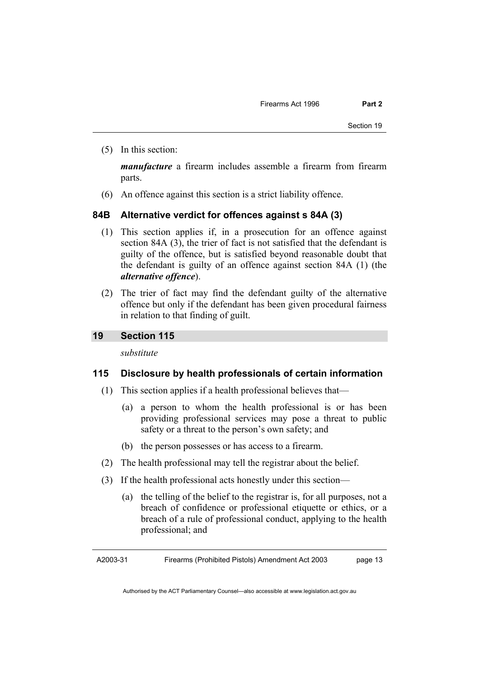(5) In this section:

*manufacture* a firearm includes assemble a firearm from firearm parts.

(6) An offence against this section is a strict liability offence.

# **84B Alternative verdict for offences against s 84A (3)**

- (1) This section applies if, in a prosecution for an offence against section 84A (3), the trier of fact is not satisfied that the defendant is guilty of the offence, but is satisfied beyond reasonable doubt that the defendant is guilty of an offence against section 84A (1) (the *alternative offence*).
- (2) The trier of fact may find the defendant guilty of the alternative offence but only if the defendant has been given procedural fairness in relation to that finding of guilt.

# **19 Section 115**

*substitute* 

# **115 Disclosure by health professionals of certain information**

- (1) This section applies if a health professional believes that—
	- (a) a person to whom the health professional is or has been providing professional services may pose a threat to public safety or a threat to the person's own safety; and
	- (b) the person possesses or has access to a firearm.
- (2) The health professional may tell the registrar about the belief.
- (3) If the health professional acts honestly under this section—
	- (a) the telling of the belief to the registrar is, for all purposes, not a breach of confidence or professional etiquette or ethics, or a breach of a rule of professional conduct, applying to the health professional; and

A2003-31 Firearms (Prohibited Pistols) Amendment Act 2003 page 13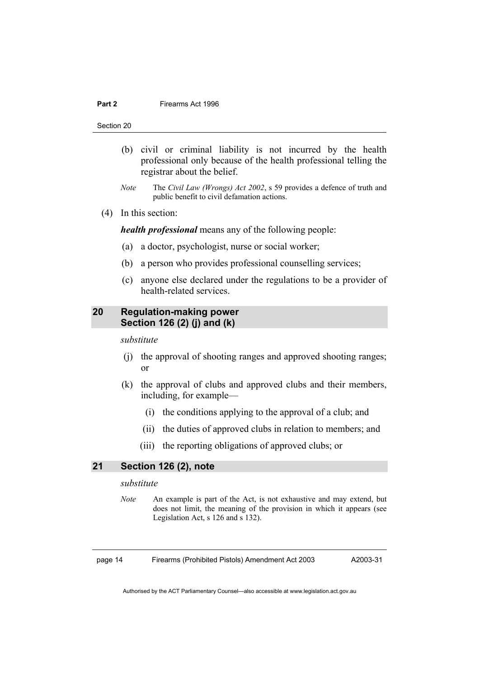Section 20

- (b) civil or criminal liability is not incurred by the health professional only because of the health professional telling the registrar about the belief.
- *Note* The *Civil Law (Wrongs) Act 2002*, s 59 provides a defence of truth and public benefit to civil defamation actions.
- (4) In this section:

*health professional* means any of the following people:

- (a) a doctor, psychologist, nurse or social worker;
- (b) a person who provides professional counselling services;
- (c) anyone else declared under the regulations to be a provider of health-related services.

# **20 Regulation-making power Section 126 (2) (j) and (k)**

*substitute* 

- (j) the approval of shooting ranges and approved shooting ranges; or
- (k) the approval of clubs and approved clubs and their members, including, for example—
	- (i) the conditions applying to the approval of a club; and
	- (ii) the duties of approved clubs in relation to members; and
	- (iii) the reporting obligations of approved clubs; or

#### **21 Section 126 (2), note**

#### *substitute*

*Note* An example is part of the Act, is not exhaustive and may extend, but does not limit, the meaning of the provision in which it appears (see Legislation Act, s 126 and s 132).

page 14 Firearms (Prohibited Pistols) Amendment Act 2003

A2003-31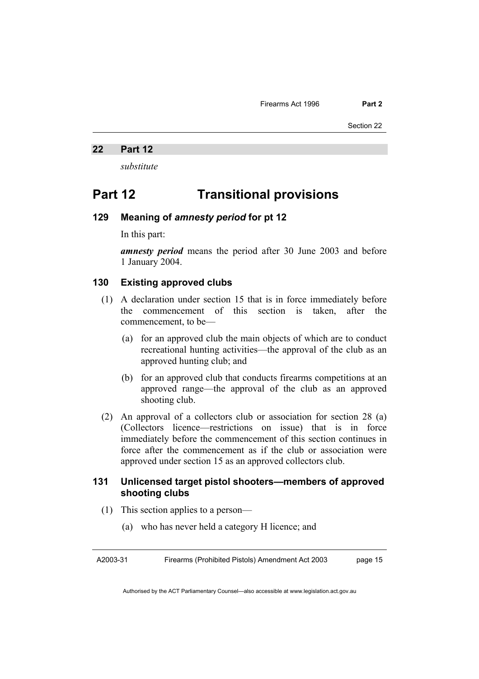Section 22

#### **22 Part 12**

*substitute* 

# **Part 12 Transitional provisions**

# **129 Meaning of** *amnesty period* **for pt 12**

In this part:

*amnesty period* means the period after 30 June 2003 and before 1 January 2004.

#### **130 Existing approved clubs**

- (1) A declaration under section 15 that is in force immediately before the commencement of this section is taken, after the commencement, to be—
	- (a) for an approved club the main objects of which are to conduct recreational hunting activities—the approval of the club as an approved hunting club; and
	- (b) for an approved club that conducts firearms competitions at an approved range—the approval of the club as an approved shooting club.
- (2) An approval of a collectors club or association for section 28 (a) (Collectors licence—restrictions on issue) that is in force immediately before the commencement of this section continues in force after the commencement as if the club or association were approved under section 15 as an approved collectors club.

# **131 Unlicensed target pistol shooters—members of approved shooting clubs**

- (1) This section applies to a person—
	- (a) who has never held a category H licence; and

A2003-31 Firearms (Prohibited Pistols) Amendment Act 2003 page 15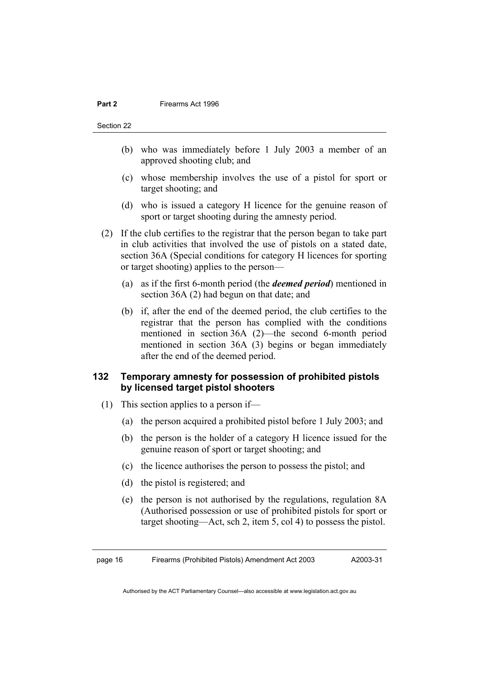Section 22

- (b) who was immediately before 1 July 2003 a member of an approved shooting club; and
- (c) whose membership involves the use of a pistol for sport or target shooting; and
- (d) who is issued a category H licence for the genuine reason of sport or target shooting during the amnesty period.
- (2) If the club certifies to the registrar that the person began to take part in club activities that involved the use of pistols on a stated date, section 36A (Special conditions for category H licences for sporting or target shooting) applies to the person—
	- (a) as if the first 6-month period (the *deemed period*) mentioned in section 36A (2) had begun on that date; and
	- (b) if, after the end of the deemed period, the club certifies to the registrar that the person has complied with the conditions mentioned in section 36A (2)—the second 6-month period mentioned in section 36A (3) begins or began immediately after the end of the deemed period.

# **132 Temporary amnesty for possession of prohibited pistols by licensed target pistol shooters**

- (1) This section applies to a person if—
	- (a) the person acquired a prohibited pistol before 1 July 2003; and
	- (b) the person is the holder of a category H licence issued for the genuine reason of sport or target shooting; and
	- (c) the licence authorises the person to possess the pistol; and
	- (d) the pistol is registered; and
	- (e) the person is not authorised by the regulations, regulation 8A (Authorised possession or use of prohibited pistols for sport or target shooting—Act, sch 2, item 5, col 4) to possess the pistol.

page 16 Firearms (Prohibited Pistols) Amendment Act 2003

A2003-31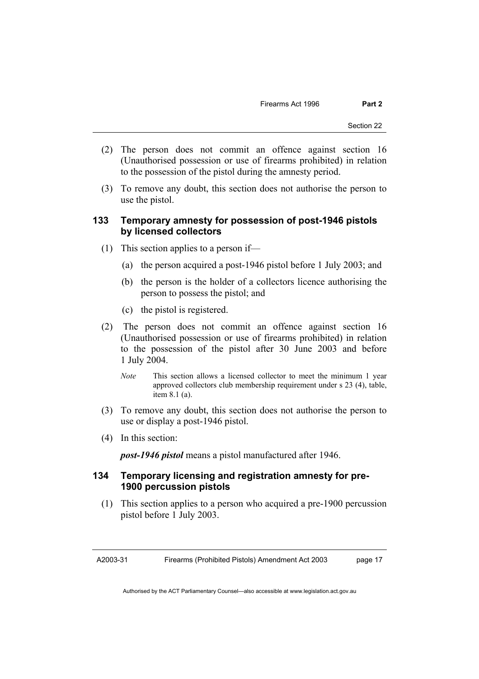- (2) The person does not commit an offence against section 16 (Unauthorised possession or use of firearms prohibited) in relation to the possession of the pistol during the amnesty period.
- (3) To remove any doubt, this section does not authorise the person to use the pistol.

# **133 Temporary amnesty for possession of post-1946 pistols by licensed collectors**

- (1) This section applies to a person if—
	- (a) the person acquired a post-1946 pistol before 1 July 2003; and
	- (b) the person is the holder of a collectors licence authorising the person to possess the pistol; and
	- (c) the pistol is registered.
- (2) The person does not commit an offence against section 16 (Unauthorised possession or use of firearms prohibited) in relation to the possession of the pistol after 30 June 2003 and before 1 July 2004.
	- *Note* This section allows a licensed collector to meet the minimum 1 year approved collectors club membership requirement under s 23 (4), table, item 8.1 (a).
- (3) To remove any doubt, this section does not authorise the person to use or display a post-1946 pistol.
- (4) In this section:

*post-1946 pistol* means a pistol manufactured after 1946.

## **134 Temporary licensing and registration amnesty for pre-1900 percussion pistols**

 (1) This section applies to a person who acquired a pre-1900 percussion pistol before 1 July 2003.

A2003-31 Firearms (Prohibited Pistols) Amendment Act 2003 page 17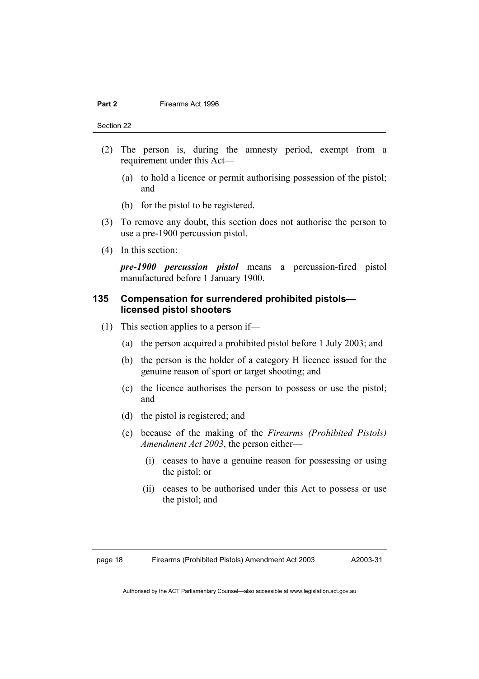Section 22

- (2) The person is, during the amnesty period, exempt from a requirement under this Act—
	- (a) to hold a licence or permit authorising possession of the pistol; and
	- (b) for the pistol to be registered.
- (3) To remove any doubt, this section does not authorise the person to use a pre-1900 percussion pistol.
- (4) In this section:

*pre-1900 percussion pistol* means a percussion-fired pistol manufactured before 1 January 1900.

#### **135 Compensation for surrendered prohibited pistols licensed pistol shooters**

- (1) This section applies to a person if—
	- (a) the person acquired a prohibited pistol before 1 July 2003; and
	- (b) the person is the holder of a category H licence issued for the genuine reason of sport or target shooting; and
	- (c) the licence authorises the person to possess or use the pistol; and
	- (d) the pistol is registered; and
	- (e) because of the making of the *Firearms (Prohibited Pistols) Amendment Act 2003*, the person either—
		- (i) ceases to have a genuine reason for possessing or using the pistol; or
		- (ii) ceases to be authorised under this Act to possess or use the pistol; and

page 18 Firearms (Prohibited Pistols) Amendment Act 2003

A2003-31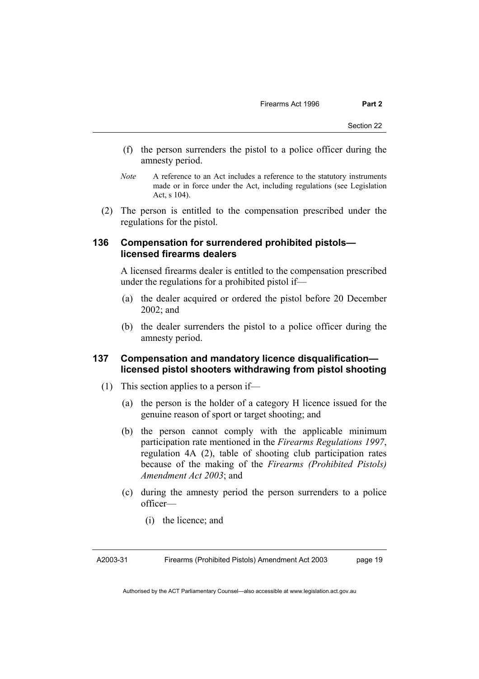- (f) the person surrenders the pistol to a police officer during the amnesty period.
- *Note* A reference to an Act includes a reference to the statutory instruments made or in force under the Act, including regulations (see Legislation Act, s 104).
- (2) The person is entitled to the compensation prescribed under the regulations for the pistol.

#### **136 Compensation for surrendered prohibited pistols licensed firearms dealers**

A licensed firearms dealer is entitled to the compensation prescribed under the regulations for a prohibited pistol if—

- (a) the dealer acquired or ordered the pistol before 20 December 2002; and
- (b) the dealer surrenders the pistol to a police officer during the amnesty period.

# **137 Compensation and mandatory licence disqualification licensed pistol shooters withdrawing from pistol shooting**

- (1) This section applies to a person if—
	- (a) the person is the holder of a category H licence issued for the genuine reason of sport or target shooting; and
	- (b) the person cannot comply with the applicable minimum participation rate mentioned in the *Firearms Regulations 1997*, regulation 4A (2), table of shooting club participation rates because of the making of the *Firearms (Prohibited Pistols) Amendment Act 2003*; and
	- (c) during the amnesty period the person surrenders to a police officer—
		- (i) the licence; and

A2003-31 Firearms (Prohibited Pistols) Amendment Act 2003 page 19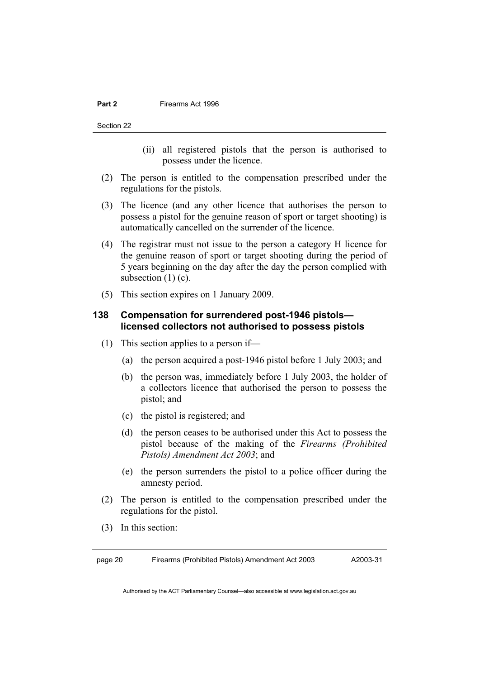Section 22

- (ii) all registered pistols that the person is authorised to possess under the licence.
- (2) The person is entitled to the compensation prescribed under the regulations for the pistols.
- (3) The licence (and any other licence that authorises the person to possess a pistol for the genuine reason of sport or target shooting) is automatically cancelled on the surrender of the licence.
- (4) The registrar must not issue to the person a category H licence for the genuine reason of sport or target shooting during the period of 5 years beginning on the day after the day the person complied with subsection  $(1)$  (c).
- (5) This section expires on 1 January 2009.

# **138 Compensation for surrendered post-1946 pistols licensed collectors not authorised to possess pistols**

- (1) This section applies to a person if—
	- (a) the person acquired a post-1946 pistol before 1 July 2003; and
	- (b) the person was, immediately before 1 July 2003, the holder of a collectors licence that authorised the person to possess the pistol; and
	- (c) the pistol is registered; and
	- (d) the person ceases to be authorised under this Act to possess the pistol because of the making of the *Firearms (Prohibited Pistols) Amendment Act 2003*; and
	- (e) the person surrenders the pistol to a police officer during the amnesty period.
- (2) The person is entitled to the compensation prescribed under the regulations for the pistol.
- (3) In this section:

page 20 Firearms (Prohibited Pistols) Amendment Act 2003

A2003-31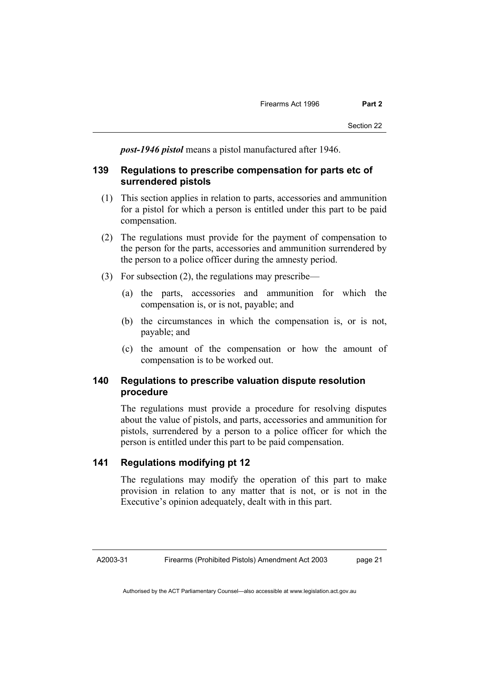*post-1946 pistol* means a pistol manufactured after 1946.

#### **139 Regulations to prescribe compensation for parts etc of surrendered pistols**

- (1) This section applies in relation to parts, accessories and ammunition for a pistol for which a person is entitled under this part to be paid compensation.
- (2) The regulations must provide for the payment of compensation to the person for the parts, accessories and ammunition surrendered by the person to a police officer during the amnesty period.
- (3) For subsection (2), the regulations may prescribe—
	- (a) the parts, accessories and ammunition for which the compensation is, or is not, payable; and
	- (b) the circumstances in which the compensation is, or is not, payable; and
	- (c) the amount of the compensation or how the amount of compensation is to be worked out.

#### **140 Regulations to prescribe valuation dispute resolution procedure**

The regulations must provide a procedure for resolving disputes about the value of pistols, and parts, accessories and ammunition for pistols, surrendered by a person to a police officer for which the person is entitled under this part to be paid compensation.

# **141 Regulations modifying pt 12**

The regulations may modify the operation of this part to make provision in relation to any matter that is not, or is not in the Executive's opinion adequately, dealt with in this part.

A2003-31

page 21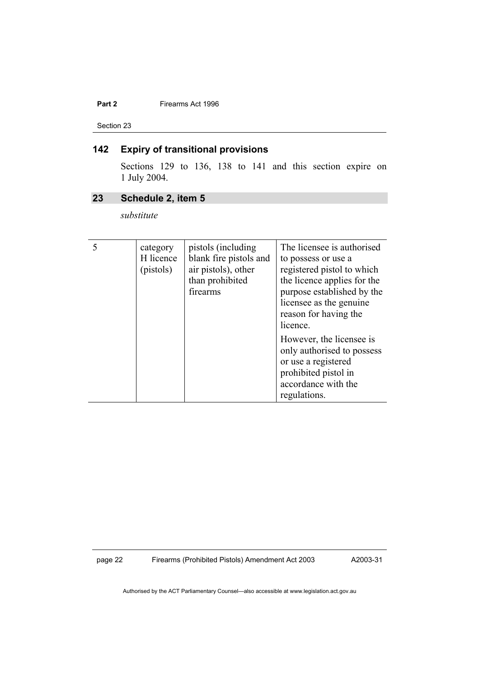Section 23

# **142 Expiry of transitional provisions**

Sections 129 to 136, 138 to 141 and this section expire on 1 July 2004.

# **23 Schedule 2, item 5**

*substitute* 

| category<br>H licence<br>(pistols) | pistols (including)<br>blank fire pistols and<br>air pistols), other<br>than prohibited<br>firearms | The licensee is authorised<br>to possess or use a<br>registered pistol to which<br>the licence applies for the<br>purpose established by the<br>licensee as the genuine.<br>reason for having the<br>licence. |
|------------------------------------|-----------------------------------------------------------------------------------------------------|---------------------------------------------------------------------------------------------------------------------------------------------------------------------------------------------------------------|
|                                    |                                                                                                     | However, the licensee is<br>only authorised to possess<br>or use a registered<br>prohibited pistol in<br>accordance with the<br>regulations.                                                                  |

page 22 Firearms (Prohibited Pistols) Amendment Act 2003

A2003-31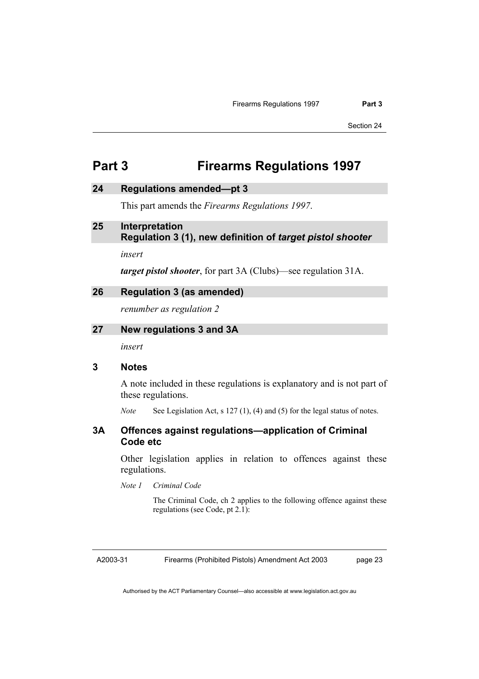# **Part 3 Firearms Regulations 1997**

#### **24 Regulations amended—pt 3**

This part amends the *Firearms Regulations 1997*.

#### **25 Interpretation Regulation 3 (1), new definition of** *target pistol shooter*

*insert* 

*target pistol shooter*, for part 3A (Clubs)—see regulation 31A.

#### **26 Regulation 3 (as amended)**

*renumber as regulation 2* 

#### **27 New regulations 3 and 3A**

*insert* 

### **3 Notes**

A note included in these regulations is explanatory and is not part of these regulations.

*Note* See Legislation Act, s 127 (1), (4) and (5) for the legal status of notes.

#### **3A Offences against regulations—application of Criminal Code etc**

Other legislation applies in relation to offences against these regulations.

*Note 1 Criminal Code* 

 The Criminal Code, ch 2 applies to the following offence against these regulations (see Code, pt 2.1):

A2003-31

Firearms (Prohibited Pistols) Amendment Act 2003

page 23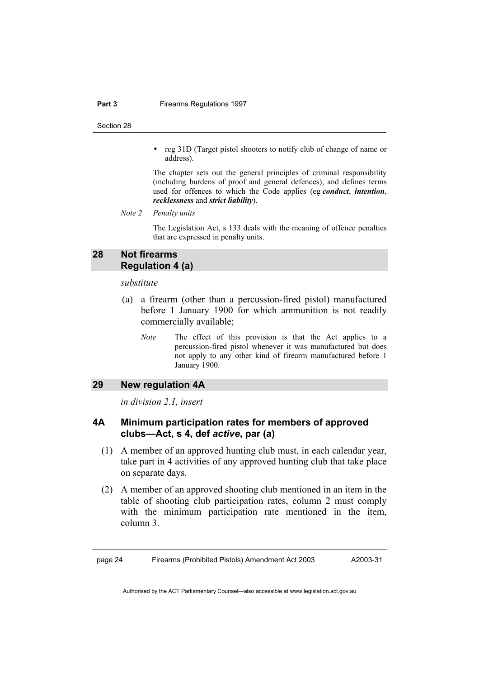#### **Part 3 Firearms Regulations 1997**

Section 28

• reg 31D (Target pistol shooters to notify club of change of name or address).

 The chapter sets out the general principles of criminal responsibility (including burdens of proof and general defences), and defines terms used for offences to which the Code applies (eg *conduct*, *intention*, *recklessness* and *strict liability*).

*Note 2 Penalty units*

 The Legislation Act, s 133 deals with the meaning of offence penalties that are expressed in penalty units.

# **28 Not firearms Regulation 4 (a)**

*substitute* 

- (a) a firearm (other than a percussion-fired pistol) manufactured before 1 January 1900 for which ammunition is not readily commercially available;
	- *Note* The effect of this provision is that the Act applies to a percussion-fired pistol whenever it was manufactured but does not apply to any other kind of firearm manufactured before 1 January 1900.

#### **29 New regulation 4A**

*in division 2.1, insert* 

# **4A Minimum participation rates for members of approved clubs—Act, s 4, def** *active***, par (a)**

- (1) A member of an approved hunting club must, in each calendar year, take part in 4 activities of any approved hunting club that take place on separate days.
- (2) A member of an approved shooting club mentioned in an item in the table of shooting club participation rates, column 2 must comply with the minimum participation rate mentioned in the item, column 3.

page 24 Firearms (Prohibited Pistols) Amendment Act 2003

A2003-31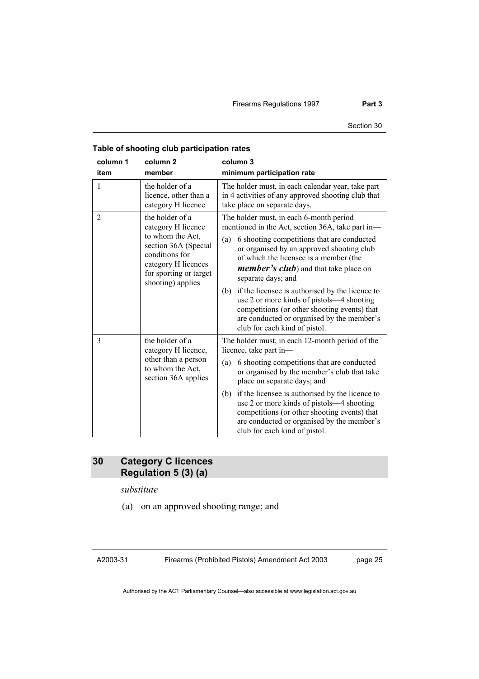Firearms Regulations 1997 **Part 3** 

| column 1<br>item | column <sub>2</sub><br>member                                                                                                    | column 3<br>minimum participation rate                                                                                                                                                                                                                                                                                                                                                                                                                |
|------------------|----------------------------------------------------------------------------------------------------------------------------------|-------------------------------------------------------------------------------------------------------------------------------------------------------------------------------------------------------------------------------------------------------------------------------------------------------------------------------------------------------------------------------------------------------------------------------------------------------|
| 1                | the holder of a<br>licence, other than a<br>category H licence                                                                   | The holder must, in each calendar year, take part<br>in 4 activities of any approved shooting club that<br>take place on separate days.                                                                                                                                                                                                                                                                                                               |
| $\overline{2}$   | the holder of a<br>category H licence                                                                                            | The holder must, in each 6-month period<br>mentioned in the Act, section 36A, take part in-                                                                                                                                                                                                                                                                                                                                                           |
|                  | to whom the Act,<br>section 36A (Special<br>conditions for<br>category H licences<br>for sporting or target<br>shooting) applies | 6 shooting competitions that are conducted<br>(a)<br>or organised by an approved shooting club<br>of which the licensee is a member (the<br><i>member's club</i> ) and that take place on<br>separate days; and<br>if the licensee is authorised by the licence to<br>(b)<br>use 2 or more kinds of pistols—4 shooting<br>competitions (or other shooting events) that<br>are conducted or organised by the member's<br>club for each kind of pistol. |
| 3                | the holder of a<br>category H licence,<br>other than a person<br>to whom the Act,<br>section 36A applies                         | The holder must, in each 12-month period of the<br>licence, take part in-<br>6 shooting competitions that are conducted<br>(a)<br>or organised by the member's club that take<br>place on separate days; and                                                                                                                                                                                                                                          |
|                  |                                                                                                                                  | if the licensee is authorised by the licence to<br>(b)<br>use 2 or more kinds of pistols—4 shooting<br>competitions (or other shooting events) that<br>are conducted or organised by the member's<br>club for each kind of pistol.                                                                                                                                                                                                                    |

# **Table of shooting club participation rates**

# **30 Category C licences Regulation 5 (3) (a)**

*substitute* 

(a) on an approved shooting range; and

A2003-31

Firearms (Prohibited Pistols) Amendment Act 2003

page 25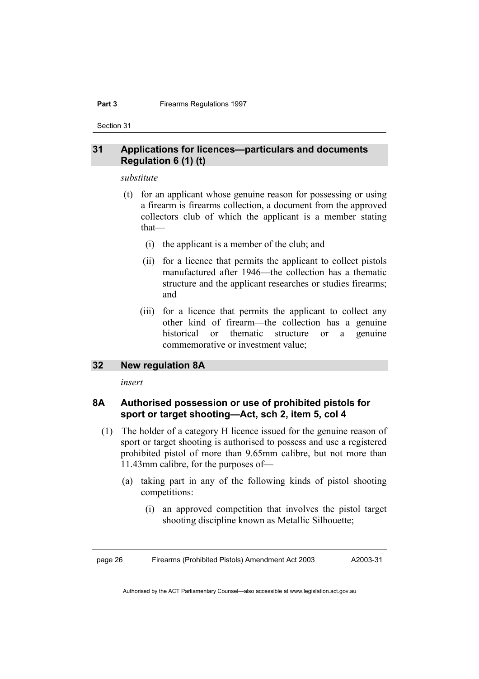#### **Part 3 Firearms Regulations 1997**

Section 31

### **31 Applications for licences—particulars and documents Regulation 6 (1) (t)**

#### *substitute*

- (t) for an applicant whose genuine reason for possessing or using a firearm is firearms collection, a document from the approved collectors club of which the applicant is a member stating that—
	- (i) the applicant is a member of the club; and
	- (ii) for a licence that permits the applicant to collect pistols manufactured after 1946—the collection has a thematic structure and the applicant researches or studies firearms; and
	- (iii) for a licence that permits the applicant to collect any other kind of firearm—the collection has a genuine historical or thematic structure or a genuine commemorative or investment value;

### **32 New regulation 8A**

*insert* 

# **8A Authorised possession or use of prohibited pistols for sport or target shooting—Act, sch 2, item 5, col 4**

- (1) The holder of a category H licence issued for the genuine reason of sport or target shooting is authorised to possess and use a registered prohibited pistol of more than 9.65mm calibre, but not more than 11.43mm calibre, for the purposes of—
	- (a) taking part in any of the following kinds of pistol shooting competitions:
		- (i) an approved competition that involves the pistol target shooting discipline known as Metallic Silhouette;

page 26 Firearms (Prohibited Pistols) Amendment Act 2003 A2003-31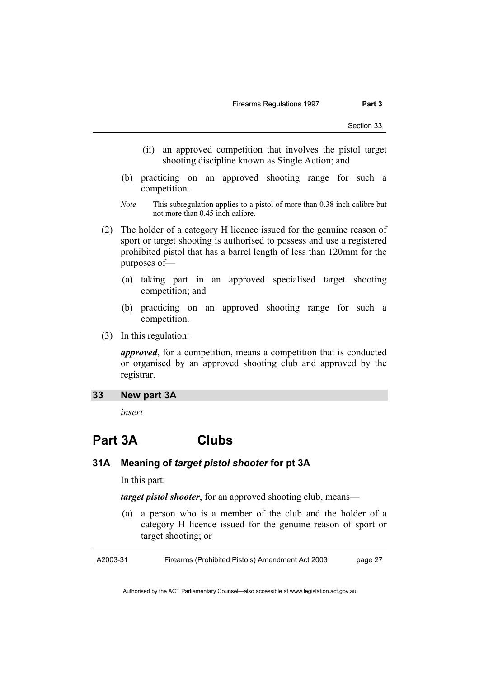- (ii) an approved competition that involves the pistol target shooting discipline known as Single Action; and
- (b) practicing on an approved shooting range for such a competition.
- *Note* This subregulation applies to a pistol of more than 0.38 inch calibre but not more than 0.45 inch calibre.
- (2) The holder of a category H licence issued for the genuine reason of sport or target shooting is authorised to possess and use a registered prohibited pistol that has a barrel length of less than 120mm for the purposes of—
	- (a) taking part in an approved specialised target shooting competition; and
	- (b) practicing on an approved shooting range for such a competition.
- (3) In this regulation:

*approved*, for a competition, means a competition that is conducted or organised by an approved shooting club and approved by the registrar.

#### **33 New part 3A**

*insert* 

# **Part 3A Clubs**

## **31A Meaning of** *target pistol shooter* **for pt 3A**

In this part:

*target pistol shooter*, for an approved shooting club, means—

 (a) a person who is a member of the club and the holder of a category H licence issued for the genuine reason of sport or target shooting; or

A2003-31 Firearms (Prohibited Pistols) Amendment Act 2003 page 27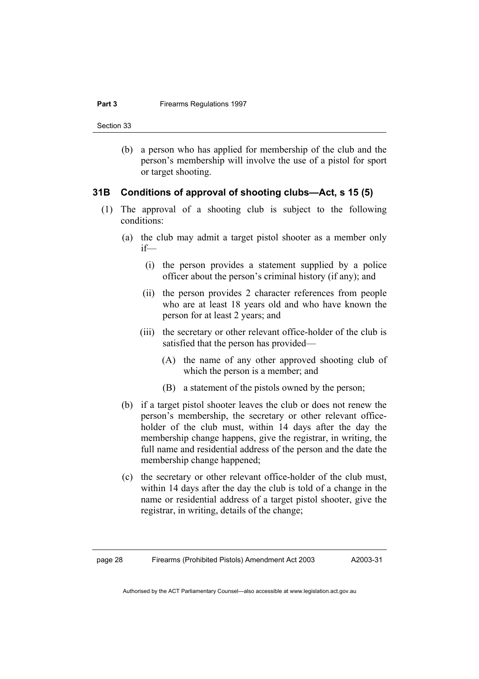Section 33

 (b) a person who has applied for membership of the club and the person's membership will involve the use of a pistol for sport or target shooting.

#### **31B Conditions of approval of shooting clubs—Act, s 15 (5)**

- (1) The approval of a shooting club is subject to the following conditions:
	- (a) the club may admit a target pistol shooter as a member only if—
		- (i) the person provides a statement supplied by a police officer about the person's criminal history (if any); and
		- (ii) the person provides 2 character references from people who are at least 18 years old and who have known the person for at least 2 years; and
		- (iii) the secretary or other relevant office-holder of the club is satisfied that the person has provided—
			- (A) the name of any other approved shooting club of which the person is a member; and
			- (B) a statement of the pistols owned by the person;
	- (b) if a target pistol shooter leaves the club or does not renew the person's membership, the secretary or other relevant officeholder of the club must, within 14 days after the day the membership change happens, give the registrar, in writing, the full name and residential address of the person and the date the membership change happened;
	- (c) the secretary or other relevant office-holder of the club must, within 14 days after the day the club is told of a change in the name or residential address of a target pistol shooter, give the registrar, in writing, details of the change;

A2003-31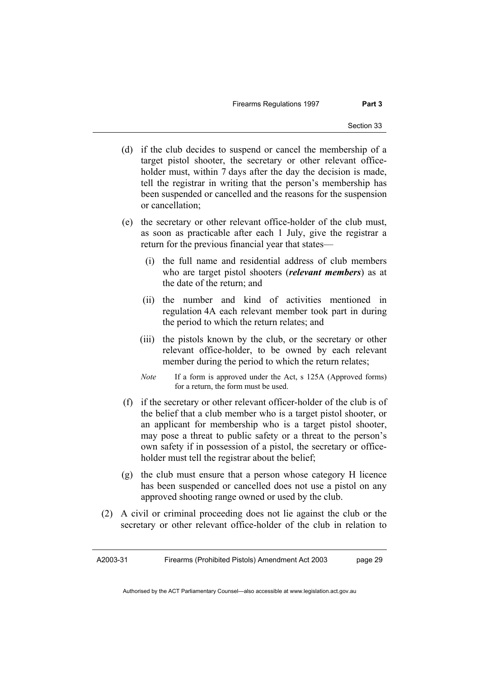Firearms Regulations 1997 **Part 3** 

- (d) if the club decides to suspend or cancel the membership of a target pistol shooter, the secretary or other relevant officeholder must, within 7 days after the day the decision is made, tell the registrar in writing that the person's membership has been suspended or cancelled and the reasons for the suspension or cancellation;
- (e) the secretary or other relevant office-holder of the club must, as soon as practicable after each 1 July, give the registrar a return for the previous financial year that states—
	- (i) the full name and residential address of club members who are target pistol shooters (*relevant members*) as at the date of the return; and
	- (ii) the number and kind of activities mentioned in regulation 4A each relevant member took part in during the period to which the return relates; and
	- (iii) the pistols known by the club, or the secretary or other relevant office-holder, to be owned by each relevant member during the period to which the return relates;
	- *Note* If a form is approved under the Act, s 125A (Approved forms) for a return, the form must be used.
- (f) if the secretary or other relevant officer-holder of the club is of the belief that a club member who is a target pistol shooter, or an applicant for membership who is a target pistol shooter, may pose a threat to public safety or a threat to the person's own safety if in possession of a pistol, the secretary or officeholder must tell the registrar about the belief;
- (g) the club must ensure that a person whose category H licence has been suspended or cancelled does not use a pistol on any approved shooting range owned or used by the club.
- (2) A civil or criminal proceeding does not lie against the club or the secretary or other relevant office-holder of the club in relation to

A2003-31 Firearms (Prohibited Pistols) Amendment Act 2003 page 29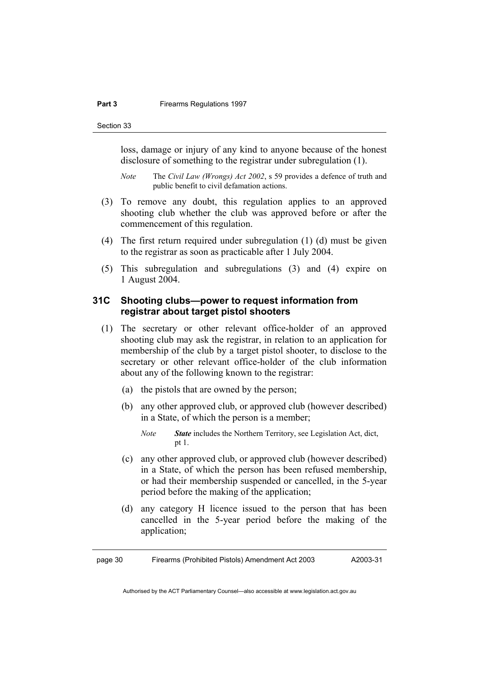#### **Part 3 Firearms Regulations 1997**

Section 33

loss, damage or injury of any kind to anyone because of the honest disclosure of something to the registrar under subregulation (1).

*Note* The *Civil Law (Wrongs) Act 2002*, s 59 provides a defence of truth and public benefit to civil defamation actions.

- (3) To remove any doubt, this regulation applies to an approved shooting club whether the club was approved before or after the commencement of this regulation.
- (4) The first return required under subregulation (1) (d) must be given to the registrar as soon as practicable after 1 July 2004.
- (5) This subregulation and subregulations (3) and (4) expire on 1 August 2004.

# **31C Shooting clubs—power to request information from registrar about target pistol shooters**

- (1) The secretary or other relevant office-holder of an approved shooting club may ask the registrar, in relation to an application for membership of the club by a target pistol shooter, to disclose to the secretary or other relevant office-holder of the club information about any of the following known to the registrar:
	- (a) the pistols that are owned by the person;
	- (b) any other approved club, or approved club (however described) in a State, of which the person is a member;
		- *Note State* includes the Northern Territory, see Legislation Act, dict, pt 1.
	- (c) any other approved club, or approved club (however described) in a State, of which the person has been refused membership, or had their membership suspended or cancelled, in the 5-year period before the making of the application;
	- (d) any category H licence issued to the person that has been cancelled in the 5-year period before the making of the application;

page 30 Firearms (Prohibited Pistols) Amendment Act 2003 A2003-31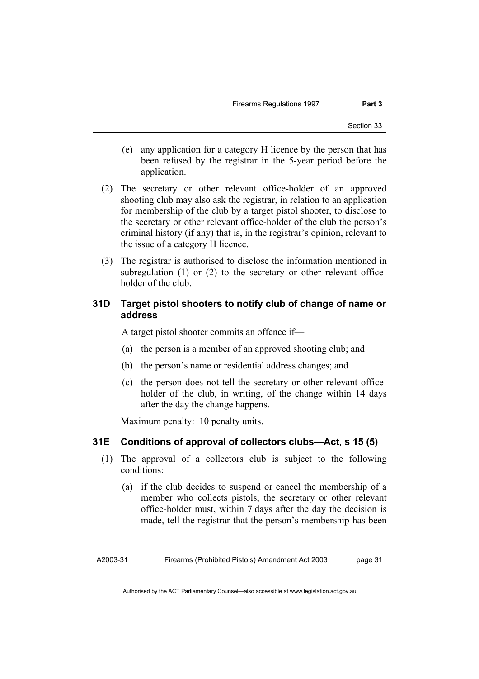- (e) any application for a category H licence by the person that has been refused by the registrar in the 5-year period before the application.
- (2) The secretary or other relevant office-holder of an approved shooting club may also ask the registrar, in relation to an application for membership of the club by a target pistol shooter, to disclose to the secretary or other relevant office-holder of the club the person's criminal history (if any) that is, in the registrar's opinion, relevant to the issue of a category H licence.
- (3) The registrar is authorised to disclose the information mentioned in subregulation (1) or (2) to the secretary or other relevant officeholder of the club.

# **31D Target pistol shooters to notify club of change of name or address**

A target pistol shooter commits an offence if—

- (a) the person is a member of an approved shooting club; and
- (b) the person's name or residential address changes; and
- (c) the person does not tell the secretary or other relevant officeholder of the club, in writing, of the change within 14 days after the day the change happens.

Maximum penalty: 10 penalty units.

### **31E Conditions of approval of collectors clubs—Act, s 15 (5)**

- (1) The approval of a collectors club is subject to the following conditions:
	- (a) if the club decides to suspend or cancel the membership of a member who collects pistols, the secretary or other relevant office-holder must, within 7 days after the day the decision is made, tell the registrar that the person's membership has been

A2003-31 Firearms (Prohibited Pistols) Amendment Act 2003 page 31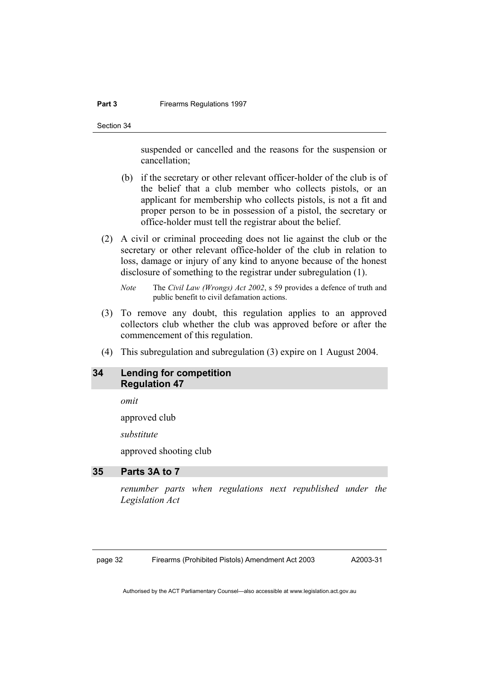#### **Part 3 Firearms Regulations 1997**

Section 34

suspended or cancelled and the reasons for the suspension or cancellation;

- (b) if the secretary or other relevant officer-holder of the club is of the belief that a club member who collects pistols, or an applicant for membership who collects pistols, is not a fit and proper person to be in possession of a pistol, the secretary or office-holder must tell the registrar about the belief.
- (2) A civil or criminal proceeding does not lie against the club or the secretary or other relevant office-holder of the club in relation to loss, damage or injury of any kind to anyone because of the honest disclosure of something to the registrar under subregulation (1).

*Note* The *Civil Law (Wrongs) Act 2002*, s 59 provides a defence of truth and public benefit to civil defamation actions.

- (3) To remove any doubt, this regulation applies to an approved collectors club whether the club was approved before or after the commencement of this regulation.
- (4) This subregulation and subregulation (3) expire on 1 August 2004.

### **34 Lending for competition Regulation 47**

*omit* 

approved club

*substitute* 

approved shooting club

# **35 Parts 3A to 7**

*renumber parts when regulations next republished under the Legislation Act* 

page 32 Firearms (Prohibited Pistols) Amendment Act 2003

A2003-31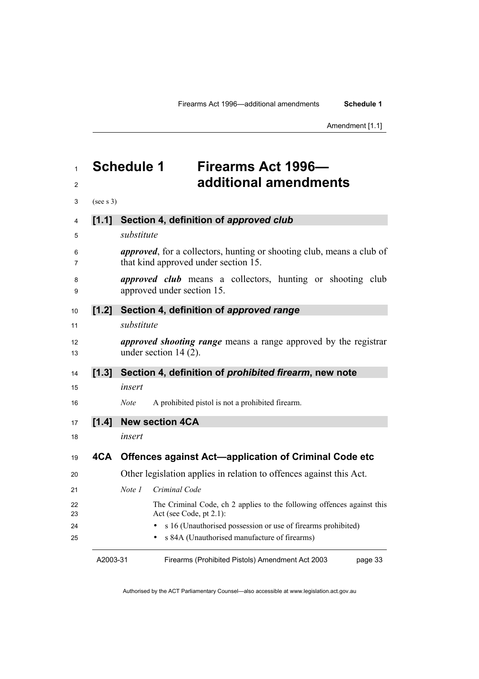Amendment [1.1]

# **Schedule 1 Firearms Act 1996— additional amendments**

| 3        | (see s 3) |                                                                                                                       |
|----------|-----------|-----------------------------------------------------------------------------------------------------------------------|
| 4        | [1.1]     | Section 4, definition of approved club                                                                                |
| 5        |           | substitute                                                                                                            |
| 6<br>7   |           | <i>approved</i> , for a collectors, hunting or shooting club, means a club of<br>that kind approved under section 15. |
| 8<br>9   |           | <i>approved club</i> means a collectors, hunting or shooting club<br>approved under section 15.                       |
| 10       | $[1.2]$   | Section 4, definition of approved range                                                                               |
| 11       |           | substitute                                                                                                            |
| 12<br>13 |           | <i>approved shooting range</i> means a range approved by the registrar<br>under section $14(2)$ .                     |
| 14       | [1.3]     | Section 4, definition of <i>prohibited firearm</i> , new note                                                         |
| 15       |           | insert                                                                                                                |
| 16       |           | A prohibited pistol is not a prohibited firearm.<br><b>Note</b>                                                       |
| 17       | [1.4]     | <b>New section 4CA</b>                                                                                                |
| 18       |           | insert                                                                                                                |
| 19       | 4CA       | <b>Offences against Act-application of Criminal Code etc</b>                                                          |
| 20       |           | Other legislation applies in relation to offences against this Act.                                                   |
| 21       |           | Note 1<br>Criminal Code                                                                                               |
| 22<br>23 |           | The Criminal Code, ch 2 applies to the following offences against this<br>Act (see Code, $pt 2.1$ ):                  |
| 24       |           | s 16 (Unauthorised possession or use of firearms prohibited)                                                          |
| 25       |           | s 84A (Unauthorised manufacture of firearms)                                                                          |

A2003-31

Firearms (Prohibited Pistols) Amendment Act 2003

page 33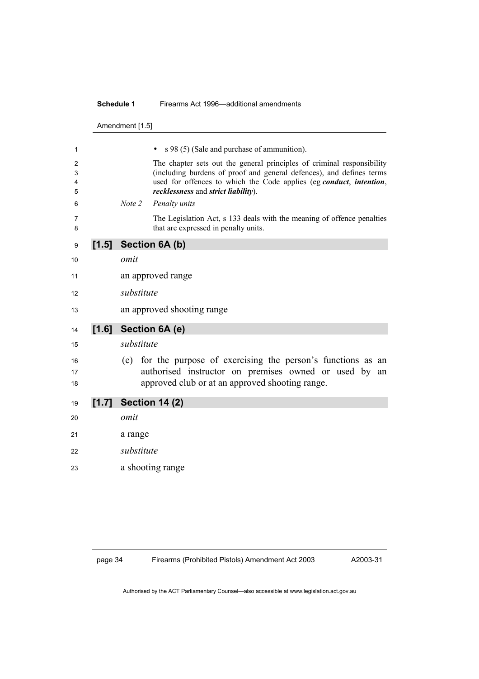#### **Schedule 1** Firearms Act 1996—additional amendments

Amendment [1.5]

| 1                |         |            | s 98 (5) (Sale and purchase of ammunition).                                                                                                                                                                                                                  |
|------------------|---------|------------|--------------------------------------------------------------------------------------------------------------------------------------------------------------------------------------------------------------------------------------------------------------|
| 2<br>3<br>4<br>5 |         |            | The chapter sets out the general principles of criminal responsibility<br>(including burdens of proof and general defences), and defines terms<br>used for offences to which the Code applies (eg conduct, intention,<br>recklessness and strict liability). |
| 6                |         | Note 2     | Penalty units                                                                                                                                                                                                                                                |
| 7<br>8           |         |            | The Legislation Act, s 133 deals with the meaning of offence penalties<br>that are expressed in penalty units.                                                                                                                                               |
| 9                | $[1.5]$ |            | Section 6A (b)                                                                                                                                                                                                                                               |
| 10               |         | omit       |                                                                                                                                                                                                                                                              |
| 11               |         |            | an approved range                                                                                                                                                                                                                                            |
| 12               |         | substitute |                                                                                                                                                                                                                                                              |
| 13               |         |            |                                                                                                                                                                                                                                                              |
|                  |         |            | an approved shooting range                                                                                                                                                                                                                                   |
|                  |         |            |                                                                                                                                                                                                                                                              |
| 14               | [1.6]   |            | Section 6A (e)                                                                                                                                                                                                                                               |
| 15               |         | substitute |                                                                                                                                                                                                                                                              |
| 16<br>17<br>18   |         | (e)        | for the purpose of exercising the person's functions as an<br>authorised instructor on premises owned or used by<br>an<br>approved club or at an approved shooting range.                                                                                    |
| 19               |         |            | $[1.7]$ Section 14 (2)                                                                                                                                                                                                                                       |
| 20               |         | omit       |                                                                                                                                                                                                                                                              |
| 21               |         | a range    |                                                                                                                                                                                                                                                              |
| 22               |         | substitute |                                                                                                                                                                                                                                                              |
| 23               |         |            | a shooting range                                                                                                                                                                                                                                             |

page 34 Firearms (Prohibited Pistols) Amendment Act 2003

A2003-31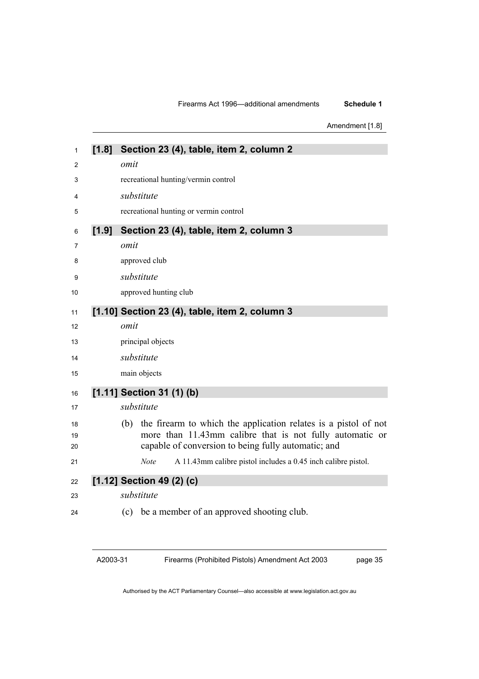#### Firearms Act 1996—additional amendments **Schedule 1**

Amendment [1.8]

| 1              | [1.8]   | Section 23 (4), table, item 2, column 2                                                                                                                                                   |
|----------------|---------|-------------------------------------------------------------------------------------------------------------------------------------------------------------------------------------------|
| 2              |         | omit                                                                                                                                                                                      |
| 3              |         | recreational hunting/vermin control                                                                                                                                                       |
| 4              |         | substitute                                                                                                                                                                                |
| 5              |         | recreational hunting or vermin control                                                                                                                                                    |
| 6              | $[1.9]$ | Section 23 (4), table, item 2, column 3                                                                                                                                                   |
| 7              |         | omit                                                                                                                                                                                      |
| 8              |         | approved club                                                                                                                                                                             |
| 9              |         | substitute                                                                                                                                                                                |
| 10             |         | approved hunting club                                                                                                                                                                     |
| 11             |         | [1.10] Section 23 (4), table, item 2, column 3                                                                                                                                            |
| 12             |         | omit                                                                                                                                                                                      |
| 13             |         | principal objects                                                                                                                                                                         |
| 14             |         | substitute                                                                                                                                                                                |
| 15             |         | main objects                                                                                                                                                                              |
| 16             |         | [1.11] Section 31 (1) (b)                                                                                                                                                                 |
| 17             |         | substitute                                                                                                                                                                                |
| 18<br>19<br>20 |         | the firearm to which the application relates is a pistol of not<br>(b)<br>more than 11.43mm calibre that is not fully automatic or<br>capable of conversion to being fully automatic; and |
| 21             |         | A 11.43mm calibre pistol includes a 0.45 inch calibre pistol.<br><b>Note</b>                                                                                                              |
| 22             |         | $[1.12]$ Section 49 (2) (c)                                                                                                                                                               |
| 23             |         | substitute                                                                                                                                                                                |
| 24             |         | be a member of an approved shooting club.<br>(c)                                                                                                                                          |

A2003-31

Firearms (Prohibited Pistols) Amendment Act 2003

page 35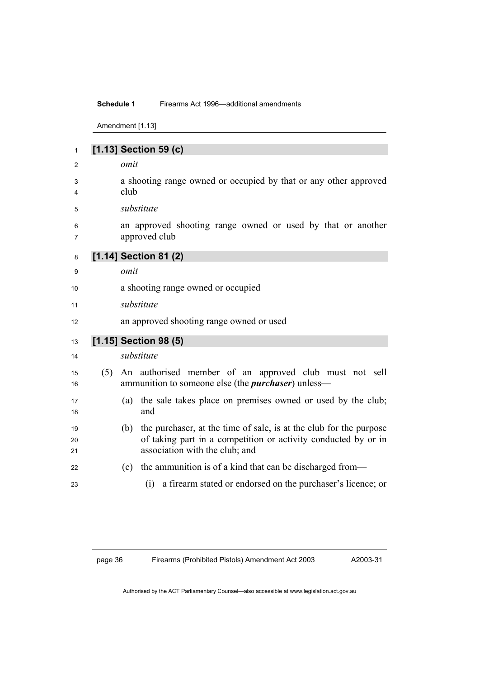#### **Schedule 1** Firearms Act 1996—additional amendments

Amendment [1.13]

| 1              |     | [1.13] Section 59 (c)                                                                                                                                                         |
|----------------|-----|-------------------------------------------------------------------------------------------------------------------------------------------------------------------------------|
| 2              |     | omit                                                                                                                                                                          |
| 3<br>4         |     | a shooting range owned or occupied by that or any other approved<br>club                                                                                                      |
| 5              |     | substitute                                                                                                                                                                    |
| 6<br>7         |     | an approved shooting range owned or used by that or another<br>approved club                                                                                                  |
| 8              |     | [1.14] Section 81 (2)                                                                                                                                                         |
| 9              |     | omit                                                                                                                                                                          |
| 10             |     | a shooting range owned or occupied                                                                                                                                            |
| 11             |     | substitute                                                                                                                                                                    |
| 12             |     | an approved shooting range owned or used                                                                                                                                      |
| 13             |     | [1.15] Section 98 (5)                                                                                                                                                         |
| 14             |     | substitute                                                                                                                                                                    |
| 15<br>16       | (5) | An authorised member of an approved club must not sell<br>ammunition to someone else (the <i>purchaser</i> ) unless—                                                          |
| 17<br>18       |     | the sale takes place on premises owned or used by the club;<br>(a)<br>and                                                                                                     |
| 19<br>20<br>21 |     | the purchaser, at the time of sale, is at the club for the purpose<br>(b)<br>of taking part in a competition or activity conducted by or in<br>association with the club; and |
| 22             |     | the ammunition is of a kind that can be discharged from—<br>(c)                                                                                                               |
| 23             |     | a firearm stated or endorsed on the purchaser's licence; or<br>(i)                                                                                                            |

page 36 Firearms (Prohibited Pistols) Amendment Act 2003

A2003-31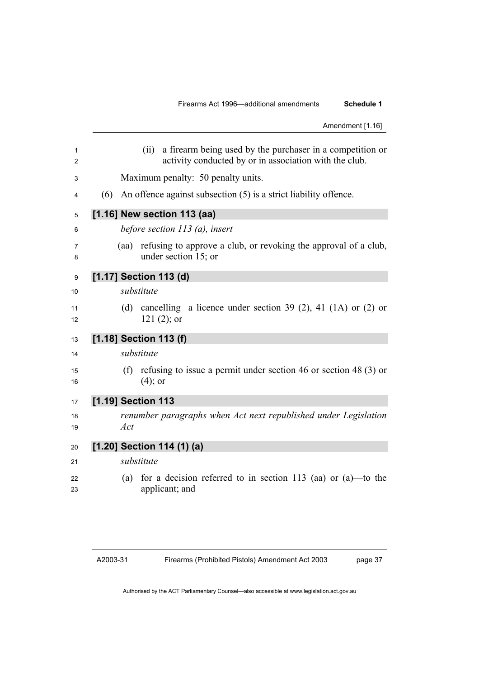|                   |      |                                  |  |                                                                                                                     |  |  |  |  |  | Amendment [1.16] |
|-------------------|------|----------------------------------|--|---------------------------------------------------------------------------------------------------------------------|--|--|--|--|--|------------------|
| $\mathbf{1}$<br>2 |      | (ii)                             |  | a firearm being used by the purchaser in a competition or<br>activity conducted by or in association with the club. |  |  |  |  |  |                  |
| 3                 |      |                                  |  | Maximum penalty: 50 penalty units.                                                                                  |  |  |  |  |  |                  |
| (6)               |      |                                  |  | An offence against subsection $(5)$ is a strict liability offence.                                                  |  |  |  |  |  |                  |
|                   |      | [1.16] New section 113 (aa)      |  |                                                                                                                     |  |  |  |  |  |                  |
|                   |      | before section $113$ (a), insert |  |                                                                                                                     |  |  |  |  |  |                  |
|                   | (aa) |                                  |  | refusing to approve a club, or revoking the approval of a club,<br>under section 15; or                             |  |  |  |  |  |                  |
|                   |      | [1.17] Section 113 (d)           |  |                                                                                                                     |  |  |  |  |  |                  |
|                   |      | substitute                       |  |                                                                                                                     |  |  |  |  |  |                  |
|                   | (d)  | $121(2)$ ; or                    |  | cancelling a licence under section 39 (2), 41 (1A) or (2) or                                                        |  |  |  |  |  |                  |
|                   |      | [1.18] Section 113 (f)           |  |                                                                                                                     |  |  |  |  |  |                  |
|                   |      | substitute                       |  |                                                                                                                     |  |  |  |  |  |                  |
|                   | (f)  | $(4)$ ; or                       |  | refusing to issue a permit under section 46 or section 48 $(3)$ or                                                  |  |  |  |  |  |                  |
|                   |      | [1.19] Section 113               |  |                                                                                                                     |  |  |  |  |  |                  |
|                   | Act  |                                  |  | renumber paragraphs when Act next republished under Legislation                                                     |  |  |  |  |  |                  |
|                   |      | [1.20] Section 114 (1) (a)       |  |                                                                                                                     |  |  |  |  |  |                  |
|                   |      | substitute                       |  |                                                                                                                     |  |  |  |  |  |                  |
|                   | (a)  | applicant; and                   |  | for a decision referred to in section 113 (aa) or $(a)$ —to the                                                     |  |  |  |  |  |                  |
|                   |      |                                  |  |                                                                                                                     |  |  |  |  |  |                  |

page 37